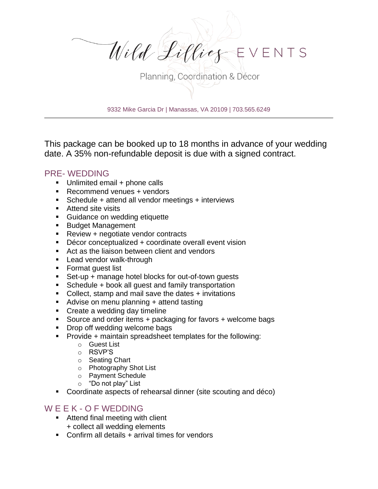

9332 Mike Garcia Dr | Manassas, VA 20109 | 703.565.6249

This package can be booked up to 18 months in advance of your wedding date. A 35% non-refundable deposit is due with a signed contract.

## PRE- WEDDING

- Unlimited email + phone calls
- Recommend venues + vendors
- Schedule + attend all vendor meetings + interviews
- Attend site visits
- Guidance on wedding etiquette
- Budget Management
- Review + negotiate vendor contracts
- Décor conceptualized + coordinate overall event vision
- Act as the liaison between client and vendors
- Lead vendor walk-through
- Format guest list
- Set-up + manage hotel blocks for out-of-town quests
- Schedule + book all guest and family transportation
- Collect, stamp and mail save the dates + invitations
- Advise on menu planning + attend tasting
- Create a wedding day timeline
- Source and order items + packaging for favors + welcome bags
- Drop off wedding welcome bags
- Provide + maintain spreadsheet templates for the following:
	- o Guest List
	- o RSVP'S
	- o Seating Chart
	- o Photography Shot List
	- o Payment Schedule
	- o "Do not play" List
- Coordinate aspects of rehearsal dinner (site scouting and déco)

## W E E K - O F WEDDING

- Attend final meeting with client + collect all wedding elements
- Confirm all details + arrival times for vendors